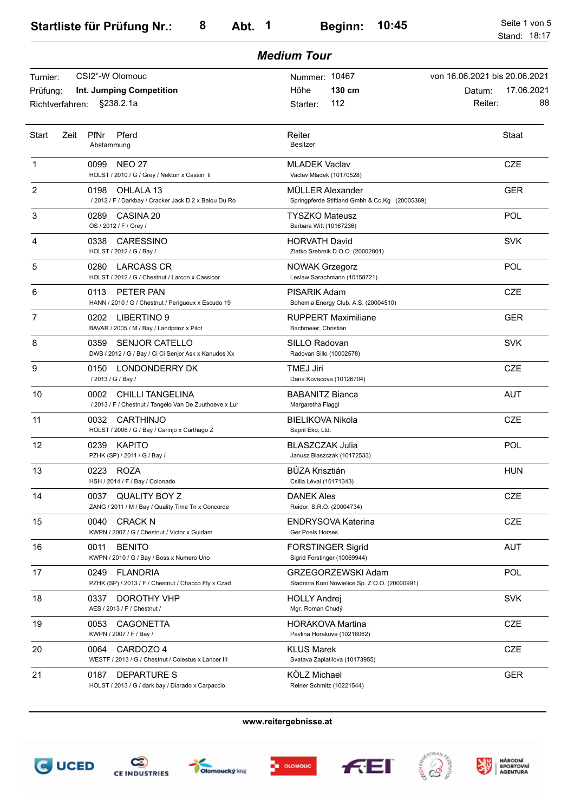|                             | <b>Medium Tour</b>                                                                        |                                                                     |                                       |  |  |
|-----------------------------|-------------------------------------------------------------------------------------------|---------------------------------------------------------------------|---------------------------------------|--|--|
| Turnier:                    | CSI2*-W Olomouc                                                                           | Nummer: 10467                                                       | von 16.06.2021 bis 20.06.2021         |  |  |
| Prüfung:<br>Richtverfahren: | Int. Jumping Competition<br>§238.2.1a                                                     | 130 cm<br>Höhe<br>112<br>Starter:                                   | 17.06.2021<br>Datum:<br>88<br>Reiter: |  |  |
| <b>Start</b><br>Zeit        | PfNr<br>Pferd<br>Abstammung                                                               | Reiter<br><b>Besitzer</b>                                           | Staat                                 |  |  |
| 1                           | 0099<br><b>NEO 27</b><br>HOLST / 2010 / G / Grey / Nekton x Cassini li                    | <b>MLADEK Vaclav</b><br>Vaclav Mladek (10170528)                    | <b>CZE</b>                            |  |  |
| $\overline{2}$              | 0198<br>OHLALA 13<br>/ 2012 / F / Darkbay / Cracker Jack D 2 x Balou Du Ro                | MÜLLER Alexander<br>Springpferde Stiftland Gmbh & Co.Kg (20005369)  | <b>GER</b>                            |  |  |
| 3                           | 0289<br>CASINA 20<br>OS / 2012 / F / Grey /                                               | <b>TYSZKO Mateusz</b><br>Barbara Witt (10167236)                    | POL                                   |  |  |
| 4                           | 0338<br>CARESSINO<br>HOLST / 2012 / G / Bay /                                             | <b>HORVATH David</b><br>Zlatko Srebrnik D.O.O. (20002801)           | <b>SVK</b>                            |  |  |
| 5                           | <b>LARCASS CR</b><br>0280<br>HOLST / 2012 / G / Chestnut / Larcon x Cassicor              | <b>NOWAK Grzegorz</b><br>Leslaw Sarachmann (10158721)               | POL                                   |  |  |
| 6                           | 0113<br>PETER PAN<br>HANN / 2010 / G / Chestnut / Perigueux x Escudo 19                   | PISARIK Adam<br>Bohemia Energy Club, A.S. (20004510)                | <b>CZE</b>                            |  |  |
| 7                           | 0202<br>LIBERTINO 9<br>BAVAR / 2005 / M / Bay / Landprinz x Pilot                         | <b>RUPPERT Maximiliane</b><br>Bachmeier, Christian                  | <b>GER</b>                            |  |  |
| 8                           | 0359<br><b>SENJOR CATELLO</b><br>DWB / 2012 / G / Bay / Ci Ci Senjor Ask x Kanudos Xx     | SILLO Radovan<br>Radovan Sillo (10002578)                           | <b>SVK</b>                            |  |  |
| 9                           | LONDONDERRY DK<br>0150<br>/ 2013 / G / Bay /                                              | TMEJ Jiri<br>Dana Kovacova (10126704)                               | <b>CZE</b>                            |  |  |
| 10                          | 0002<br><b>CHILLI TANGELINA</b><br>/ 2013 / F / Chestnut / Tangelo Van De Zuuthoeve x Lur | <b>BABANITZ Bianca</b><br>Margaretha Flaggl                         | <b>AUT</b>                            |  |  |
| 11                          | 0032<br>CARTHINJO<br>HOLST / 2006 / G / Bay / Carinjo x Carthago Z                        | <b>BIELIKOVA Nikola</b><br>Sapril Eko, Ltd.                         | <b>CZE</b>                            |  |  |
| 12                          | 0239<br><b>KAPITO</b><br>PZHK (SP) / 2011 / G / Bay /                                     | <b>BLASZCZAK Julia</b><br>Janusz Blaszczak (10172533)               | POL                                   |  |  |
| 13                          | 0223 ROZA<br>HSH / 2014 / F / Bay / Colonado                                              | <b>BÚZA Krisztián</b><br>Csilla Lévai (10171343)                    | <b>HUN</b>                            |  |  |
| 14                          | <b>QUALITY BOY Z</b><br>0037<br>ZANG / 2011 / M / Bay / Quality Time Tn x Concorde        | DANEK Ales<br>Reidor, S.R.O. (20004734)                             | <b>CZE</b>                            |  |  |
| 15                          | 0040<br><b>CRACK N</b><br>KWPN / 2007 / G / Chestnut / Victor x Guidam                    | <b>ENDRYSOVA Katerina</b><br><b>Ger Poels Horses</b>                | CZE                                   |  |  |
| 16                          | 0011<br><b>BENITO</b><br>KWPN / 2010 / G / Bay / Boss x Numero Uno                        | <b>FORSTINGER Sigrid</b><br>Sigrid Forstinger (10069944)            | <b>AUT</b>                            |  |  |
| 17                          | <b>FLANDRIA</b><br>0249<br>PZHK (SP) / 2013 / F / Chestnut / Chacco Fly x Czad            | GRZEGORZEWSKI Adam<br>Stadnina Koni Nowielice Sp. Z O.O. (20000991) | POL                                   |  |  |
| 18                          | 0337<br>DOROTHY VHP<br>AES / 2013 / F / Chestnut /                                        | <b>HOLLY Andrej</b><br>Mgr. Roman Chudý                             | <b>SVK</b>                            |  |  |
| 19                          | 0053<br><b>CAGONETTA</b><br>KWPN / 2007 / F / Bay /                                       | <b>HORAKOVA Martina</b><br>Pavlina Horakova (10216062)              | <b>CZE</b>                            |  |  |
| 20                          | 0064<br>CARDOZO 4<br>WESTF / 2013 / G / Chestnut / Colestus x Lancer III                  | <b>KLUS Marek</b><br>Svatava Zaplatilova (10173955)                 | <b>CZE</b>                            |  |  |
| 21                          | 0187<br><b>DEPARTURE S</b><br>HOLST / 2013 / G / dark bay / Diarado x Carpaccio           | KÖLZ Michael<br>Reiner Schmitz (10221544)                           | <b>GER</b>                            |  |  |













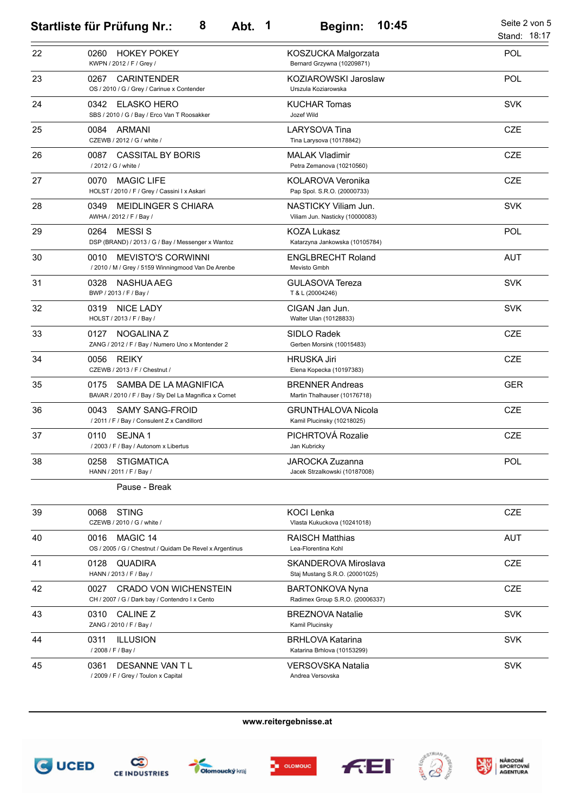|    | 8<br>Abt.<br>$\overline{\mathbf{1}}$<br><b>Startliste für Prüfung Nr.:</b>              | 10:45<br><b>Beginn:</b>                                   | Seite 2 von 5<br>Stand: 18:17 |
|----|-----------------------------------------------------------------------------------------|-----------------------------------------------------------|-------------------------------|
| 22 | <b>HOKEY POKEY</b><br>0260<br>KWPN / 2012 / F / Grey /                                  | KOSZUCKA Malgorzata<br>Bernard Grzywna (10209871)         | POL                           |
| 23 | <b>CARINTENDER</b><br>0267<br>OS / 2010 / G / Grey / Carinue x Contender                | KOZIAROWSKI Jaroslaw<br>Urszula Koziarowska               | POL                           |
| 24 | 0342<br>ELASKO HERO<br>SBS / 2010 / G / Bay / Erco Van T Roosakker                      | <b>KUCHAR Tomas</b><br>Jozef Wild                         | <b>SVK</b>                    |
| 25 | 0084<br>ARMANI<br>CZEWB / 2012 / G / white /                                            | LARYSOVA Tina<br>Tina Larysova (10178842)                 | <b>CZE</b>                    |
| 26 | <b>CASSITAL BY BORIS</b><br>0087<br>/ 2012 / G / white /                                | <b>MALAK Vladimir</b><br>Petra Zemanova (10210560)        | <b>CZE</b>                    |
| 27 | 0070<br><b>MAGIC LIFE</b><br>HOLST / 2010 / F / Grey / Cassini I x Askari               | KOLAROVA Veronika<br>Pap Spol. S.R.O. (20000733)          | <b>CZE</b>                    |
| 28 | MEIDLINGER S CHIARA<br>0349<br>AWHA / 2012 / F / Bay /                                  | NASTICKY Viliam Jun.<br>Viliam Jun. Nasticky (10000083)   | <b>SVK</b>                    |
| 29 | <b>MESSIS</b><br>0264<br>DSP (BRAND) / 2013 / G / Bay / Messenger x Wantoz              | <b>KOZA Lukasz</b><br>Katarzyna Jankowska (10105784)      | POL                           |
| 30 | 0010<br><b>MEVISTO'S CORWINNI</b><br>/ 2010 / M / Grey / 5159 Winningmood Van De Arenbe | <b>ENGLBRECHT Roland</b><br>Mevisto Gmbh                  | <b>AUT</b>                    |
| 31 | 0328<br>NASHUA AEG<br>BWP / 2013 / F / Bay /                                            | <b>GULASOVA Tereza</b><br>T & L (20004246)                | <b>SVK</b>                    |
| 32 | 0319<br><b>NICE LADY</b><br>HOLST / 2013 / F / Bay /                                    | CIGAN Jan Jun.<br>Walter Ulan (10128833)                  | <b>SVK</b>                    |
| 33 | 0127<br>NOGALINA Z<br>ZANG / 2012 / F / Bay / Numero Uno x Montender 2                  | SIDLO Radek<br>Gerben Morsink (10015483)                  | <b>CZE</b>                    |
| 34 | <b>REIKY</b><br>0056<br>CZEWB / 2013 / F / Chestnut /                                   | <b>HRUSKA Jiri</b><br>Elena Kopecka (10197383)            | <b>CZE</b>                    |
| 35 | SAMBA DE LA MAGNIFICA<br>0175<br>BAVAR / 2010 / F / Bay / Sly Del La Magnifica x Cornet | <b>BRENNER Andreas</b><br>Martin Thalhauser (10176718)    | <b>GER</b>                    |
| 36 | 0043<br><b>SAMY SANG-FROID</b><br>/ 2011 / F / Bay / Consulent Z x Candillord           | <b>GRUNTHALOVA Nicola</b><br>Kamil Plucinsky (10218025)   | <b>CZE</b>                    |
| 37 | 0110<br><b>SEJNA1</b><br>/ 2003 / F / Bay / Autonom x Libertus                          | PICHRTOVÁ Rozalie<br>Jan Kubricky                         | <b>CZE</b>                    |
| 38 | <b>STIGMATICA</b><br>0258<br>HANN / 2011 / F / Bay /                                    | JAROCKA Zuzanna<br>Jacek Strzalkowski (10187008)          | <b>POL</b>                    |
|    | Pause - Break                                                                           |                                                           |                               |
| 39 | <b>STING</b><br>0068<br>CZEWB / 2010 / G / white /                                      | <b>KOCI Lenka</b><br>Vlasta Kukuckova (10241018)          | <b>CZE</b>                    |
| 40 | MAGIC 14<br>0016<br>OS / 2005 / G / Chestnut / Quidam De Revel x Argentinus             | <b>RAISCH Matthias</b><br>Lea-Florentina Kohl             | <b>AUT</b>                    |
| 41 | 0128<br>QUADIRA<br>HANN / 2013 / F / Bay /                                              | SKANDEROVA Miroslava<br>Staj Mustang S.R.O. (20001025)    | <b>CZE</b>                    |
| 42 | <b>CRADO VON WICHENSTEIN</b><br>0027<br>CH / 2007 / G / Dark bay / Contendro I x Cento  | <b>BARTONKOVA Nyna</b><br>Radimex Group S.R.O. (20006337) | <b>CZE</b>                    |
| 43 | <b>CALINE Z</b><br>0310<br>ZANG / 2010 / F / Bay /                                      | <b>BREZNOVA Natalie</b><br>Kamil Plucinsky                | <b>SVK</b>                    |
| 44 | <b>ILLUSION</b><br>0311<br>/ 2008 / F / Bay /                                           | <b>BRHLOVA Katarina</b><br>Katarina Brhlova (10153299)    | <b>SVK</b>                    |
| 45 | DESANNE VAN TL<br>0361<br>/ 2009 / F / Grey / Toulon x Capital                          | <b>VERSOVSKA Natalia</b><br>Andrea Versovska              | <b>SVK</b>                    |











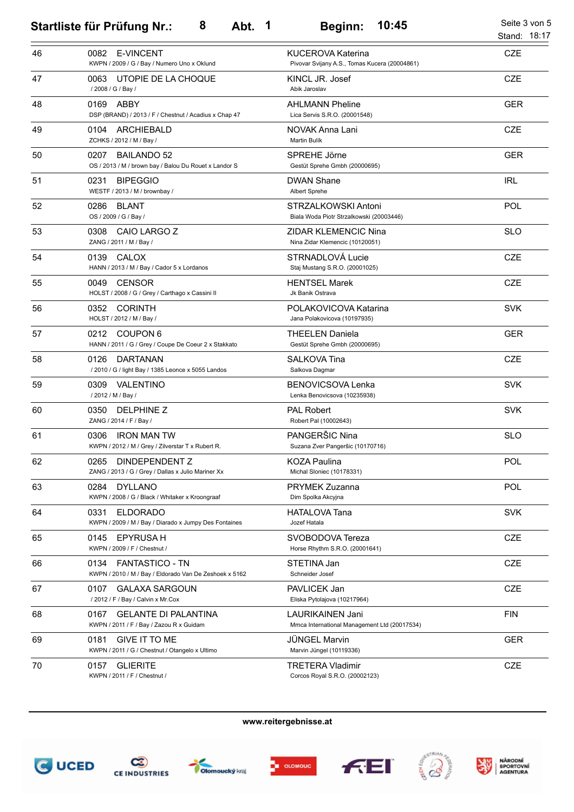|    | 8<br>Abt. 1<br><b>Startliste für Prüfung Nr.:</b>                                        | 10:45<br>Beginn:                                                          | Seite 3 von 5<br>Stand: 18:17 |
|----|------------------------------------------------------------------------------------------|---------------------------------------------------------------------------|-------------------------------|
| 46 | <b>E-VINCENT</b><br>0082<br>KWPN / 2009 / G / Bay / Numero Uno x Oklund                  | <b>KUCEROVA Katerina</b><br>Pivovar Svijany A.S., Tomas Kucera (20004861) | <b>CZE</b>                    |
| 47 | UTOPIE DE LA CHOQUE<br>0063<br>/ 2008 / G / Bay /                                        | KINCL JR. Josef<br>Abik Jaroslav                                          | <b>CZE</b>                    |
| 48 | ABBY<br>0169<br>DSP (BRAND) / 2013 / F / Chestnut / Acadius x Chap 47                    | <b>AHLMANN Pheline</b><br>Lica Servis S.R.O. (20001548)                   | <b>GER</b>                    |
| 49 | ARCHIEBALD<br>0104<br>ZCHKS / 2012 / M / Bay /                                           | NOVAK Anna Lani<br><b>Martin Bulík</b>                                    | <b>CZE</b>                    |
| 50 | 0207<br><b>BAILANDO 52</b><br>OS / 2013 / M / brown bay / Balou Du Rouet x Landor S      | SPREHE Jörne<br>Gestüt Sprehe Gmbh (20000695)                             | <b>GER</b>                    |
| 51 | <b>BIPEGGIO</b><br>0231<br>WESTF / 2013 / M / brownbay /                                 | <b>DWAN Shane</b><br>Albert Sprehe                                        | <b>IRL</b>                    |
| 52 | 0286<br><b>BLANT</b><br>OS / 2009 / G / Bay /                                            | STRZALKOWSKI Antoni<br>Biala Woda Piotr Strzalkowski (20003446)           | POL                           |
| 53 | CAIO LARGO Z<br>0308<br>ZANG / 2011 / M / Bay /                                          | ZIDAR KLEMENCIC Nina<br>Nina Zidar Klemencic (10120051)                   | <b>SLO</b>                    |
| 54 | 0139<br>CALOX<br>HANN / 2013 / M / Bay / Cador 5 x Lordanos                              | STRNADLOVÁ Lucie<br>Staj Mustang S.R.O. (20001025)                        | <b>CZE</b>                    |
| 55 | <b>CENSOR</b><br>0049<br>HOLST / 2008 / G / Grey / Carthago x Cassini II                 | <b>HENTSEL Marek</b><br>Jk Banik Ostrava                                  | <b>CZE</b>                    |
| 56 | 0352<br><b>CORINTH</b><br>HOLST / 2012 / M / Bay /                                       | POLAKOVICOVA Katarina<br>Jana Polakovicova (10197935)                     | <b>SVK</b>                    |
| 57 | 0212<br>COUPON 6<br>HANN / 2011 / G / Grey / Coupe De Coeur 2 x Stakkato                 | <b>THEELEN Daniela</b><br>Gestüt Sprehe Gmbh (20000695)                   | <b>GER</b>                    |
| 58 | 0126<br><b>DARTANAN</b><br>/ 2010 / G / light Bay / 1385 Leonce x 5055 Landos            | <b>SALKOVA Tina</b><br>Salkova Dagmar                                     | <b>CZE</b>                    |
| 59 | 0309<br>VALENTINO<br>/ 2012 / M / Bay /                                                  | <b>BENOVICSOVA Lenka</b><br>Lenka Benovicsova (10235938)                  | <b>SVK</b>                    |
| 60 | DELPHINE Z<br>0350<br>ZANG / 2014 / F / Bay /                                            | <b>PAL Robert</b><br>Robert Pal (10002643)                                | <b>SVK</b>                    |
| 61 | 0306<br><b>IRON MAN TW</b><br>KWPN / 2012 / M / Grey / Zilverstar T x Rubert R.          | PANGERŠIC Nina<br>Suzana Zver Pangeršic (10170716)                        | <b>SLO</b>                    |
| 62 | DINDEPENDENT Z<br>0265<br>ZANG / 2013 / G / Grey / Dallas x Julio Mariner Xx             | <b>KOZA Paulina</b><br>Michal Sloniec (10178331)                          | POL                           |
| 63 | 0284<br><b>DYLLANO</b><br>KWPN / 2008 / G / Black / Whitaker x Kroongraaf                | <b>PRYMEK Zuzanna</b><br>Dim Spolka Akcyjna                               | POL                           |
| 64 | 0331<br><b>ELDORADO</b><br>KWPN / 2009 / M / Bay / Diarado x Jumpy Des Fontaines         | <b>HATALOVA Tana</b><br>Jozef Hatala                                      | <b>SVK</b>                    |
| 65 | 0145<br>EPYRUSA H<br>KWPN / 2009 / F / Chestnut /                                        | SVOBODOVA Tereza<br>Horse Rhythm S.R.O. (20001641)                        | <b>CZE</b>                    |
| 66 | 0134<br><b>FANTASTICO - TN</b><br>KWPN / 2010 / M / Bay / Eldorado Van De Zeshoek x 5162 | STETINA Jan<br>Schneider Josef                                            | CZE                           |
| 67 | <b>GALAXA SARGOUN</b><br>0107<br>/ 2012 / F / Bay / Calvin x Mr.Cox                      | PAVLICEK Jan<br>Eliska Pytolajova (10217964)                              | CZE                           |
| 68 | <b>GELANTE DI PALANTINA</b><br>0167<br>KWPN / 2011 / F / Bay / Zazou R x Guidam          | LAURIKAINEN Jani<br>Mmca International Management Ltd (20017534)          | <b>FIN</b>                    |
| 69 | GIVE IT TO ME<br>0181<br>KWPN / 2011 / G / Chestnut / Otangelo x Ultimo                  | <b>JÜNGEL Marvin</b><br>Marvin Jüngel (10119336)                          | <b>GER</b>                    |
| 70 | 0157<br><b>GLIERITE</b><br>KWPN / 2011 / F / Chestnut /                                  | TRETERA Vladimir<br>Corcos Royal S.R.O. (20002123)                        | <b>CZE</b>                    |











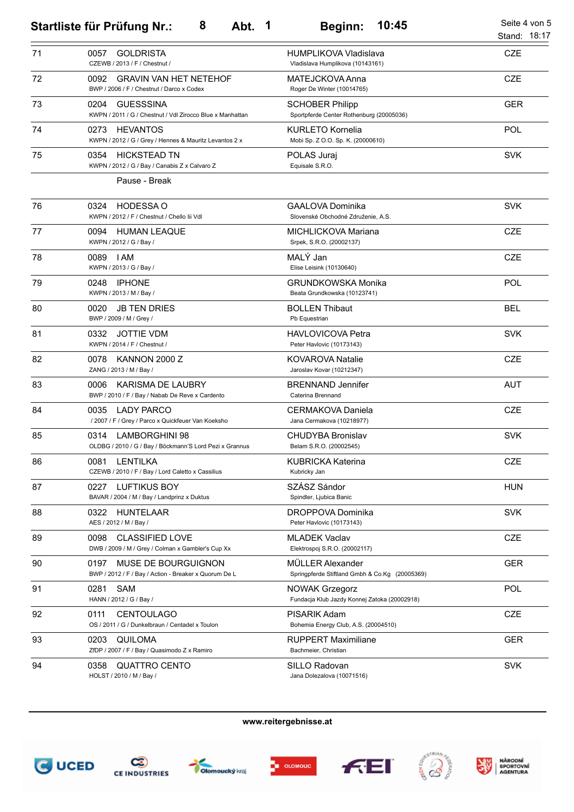|    | 8<br>Abt. 1<br><b>Startliste für Prüfung Nr.:</b>                                        | 10:45<br>Beginn:                                                      | Seite 4 von 5<br>Stand: 18:17 |
|----|------------------------------------------------------------------------------------------|-----------------------------------------------------------------------|-------------------------------|
| 71 | <b>GOLDRISTA</b><br>0057<br>CZEWB / 2013 / F / Chestnut /                                | <b>HUMPLIKOVA Vladislava</b><br>Vladislava Humplikova (10143161)      | <b>CZE</b>                    |
| 72 | <b>GRAVIN VAN HET NETEHOF</b><br>0092<br>BWP / 2006 / F / Chestnut / Darco x Codex       | MATEJCKOVA Anna<br>Roger De Winter (10014765)                         | <b>CZE</b>                    |
| 73 | 0204<br><b>GUESSSINA</b><br>KWPN / 2011 / G / Chestnut / Vdl Zirocco Blue x Manhattan    | <b>SCHOBER Philipp</b><br>Sportpferde Center Rothenburg (20005036)    | <b>GER</b>                    |
| 74 | <b>HEVANTOS</b><br>0273<br>KWPN / 2012 / G / Grey / Hennes & Mauritz Levantos 2 x        | <b>KURLETO Kornelia</b><br>Mobi Sp. Z O.O. Sp. K. (20000610)          | POL                           |
| 75 | 0354<br><b>HICKSTEAD TN</b><br>KWPN / 2012 / G / Bay / Canabis Z x Calvaro Z             | POLAS Juraj<br>Equisale S.R.O.                                        | <b>SVK</b>                    |
|    | Pause - Break                                                                            |                                                                       |                               |
| 76 | <b>HODESSA O</b><br>0324<br>KWPN / 2012 / F / Chestnut / Chello Iii Vdl                  | <b>GAALOVA Dominika</b><br>Slovenské Obchodné Združenie, A.S.         | <b>SVK</b>                    |
| 77 | 0094<br><b>HUMAN LEAQUE</b><br>KWPN / 2012 / G / Bay /                                   | MICHLICKOVA Mariana<br>Srpek, S.R.O. (20002137)                       | <b>CZE</b>                    |
| 78 | 0089<br>I AM<br>KWPN / 2013 / G / Bay /                                                  | MALÝ Jan<br>Elise Leisink (10130640)                                  | <b>CZE</b>                    |
| 79 | <b>IPHONE</b><br>0248<br>KWPN / 2013 / M / Bay /                                         | <b>GRUNDKOWSKA Monika</b><br>Beata Grundkowska (10123741)             | POL                           |
| 80 | <b>JB TEN DRIES</b><br>0020<br>BWP / 2009 / M / Grey /                                   | <b>BOLLEN Thibaut</b><br>Pb Equestrian                                | <b>BEL</b>                    |
| 81 | <b>JOTTIE VDM</b><br>0332<br>KWPN / 2014 / F / Chestnut /                                | <b>HAVLOVICOVA Petra</b><br>Peter Havlovic (10173143)                 | <b>SVK</b>                    |
| 82 | KANNON 2000 Z<br>0078<br>ZANG / 2013 / M / Bay /                                         | KOVAROVA Natalie<br>Jaroslav Kovar (10212347)                         | <b>CZE</b>                    |
| 83 | KARISMA DE LAUBRY<br>0006<br>BWP / 2010 / F / Bay / Nabab De Reve x Cardento             | <b>BRENNAND Jennifer</b><br>Caterina Brennand                         | <b>AUT</b>                    |
| 84 | 0035<br><b>LADY PARCO</b><br>/ 2007 / F / Grey / Parco x Quickfeuer Van Koeksho          | CERMAKOVA Daniela<br>Jana Cermakova (10218977)                        | <b>CZE</b>                    |
| 85 | 0314<br><b>LAMBORGHINI 98</b><br>OLDBG / 2010 / G / Bay / Böckmann'S Lord Pezi x Grannus | <b>CHUDYBA Bronislav</b><br>Belam S.R.O. (20002545)                   | <b>SVK</b>                    |
| 86 | <b>LENTILKA</b><br>0081<br>CZEWB / 2010 / F / Bay / Lord Caletto x Cassilius             | <b>KUBRICKA Katerina</b><br>Kubricky Jan                              | CZE                           |
| 87 | 0227<br>LUFTIKUS BOY<br>BAVAR / 2004 / M / Bay / Landprinz x Duktus                      | SZÁSZ Sándor<br>Spindler, Ljubica Banic                               | <b>HUN</b>                    |
| 88 | HUNTELAAR<br>0322<br>AES / 2012 / M / Bay /                                              | DROPPOVA Dominika<br>Peter Havlovic (10173143)                        | <b>SVK</b>                    |
| 89 | <b>CLASSIFIED LOVE</b><br>0098<br>DWB / 2009 / M / Grey / Colman x Gambler's Cup Xx      | <b>MLADEK Vaclav</b><br>Elektrospoj S.R.O. (20002117)                 | <b>CZE</b>                    |
| 90 | 0197<br>MUSE DE BOURGUIGNON<br>BWP / 2012 / F / Bay / Action - Breaker x Quorum De L     | MÜLLER Alexander<br>Springpferde Stiftland Gmbh & Co.Kg (20005369)    | <b>GER</b>                    |
| 91 | SAM<br>0281<br>HANN / 2012 / G / Bay /                                                   | <b>NOWAK Grzegorz</b><br>Fundacja Klub Jazdy Konnej Zatoka (20002918) | POL                           |
| 92 | 0111<br><b>CENTOULAGO</b><br>OS / 2011 / G / Dunkelbraun / Centadel x Toulon             | PISARIK Adam<br>Bohemia Energy Club, A.S. (20004510)                  | CZE                           |
| 93 | 0203<br><b>QUILOMA</b><br>ZfDP / 2007 / F / Bay / Quasimodo Z x Ramiro                   | <b>RUPPERT Maximiliane</b><br>Bachmeier, Christian                    | <b>GER</b>                    |
| 94 | 0358<br><b>QUATTRO CENTO</b><br>HOLST / 2010 / M / Bay /                                 | SILLO Radovan<br>Jana Dolezalova (10071516)                           | <b>SVK</b>                    |